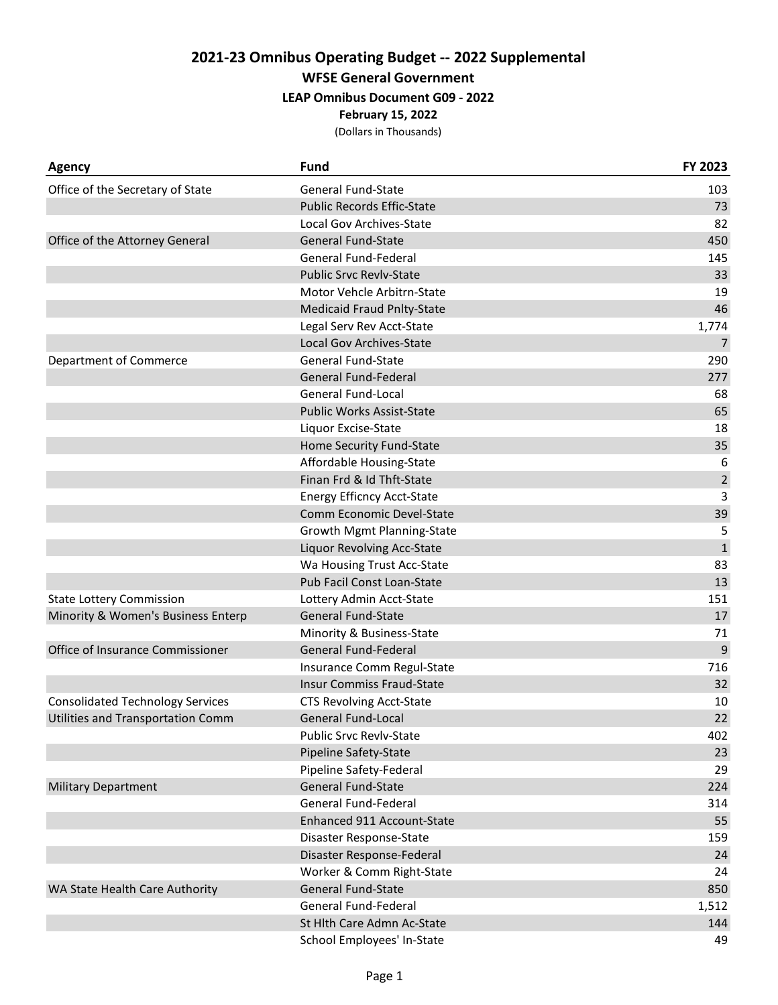**WFSE General Government**

### **LEAP Omnibus Document G09 - 2022**

**February 15, 2022**

| <b>Agency</b>                           | <b>Fund</b>                       | FY 2023        |
|-----------------------------------------|-----------------------------------|----------------|
| Office of the Secretary of State        | <b>General Fund-State</b>         | 103            |
|                                         | <b>Public Records Effic-State</b> | 73             |
|                                         | Local Gov Archives-State          | 82             |
| Office of the Attorney General          | <b>General Fund-State</b>         | 450            |
|                                         | General Fund-Federal              | 145            |
|                                         | <b>Public Srvc Revlv-State</b>    | 33             |
|                                         | Motor Vehcle Arbitrn-State        | 19             |
|                                         | <b>Medicaid Fraud Pnlty-State</b> | 46             |
|                                         | Legal Serv Rev Acct-State         | 1,774          |
|                                         | Local Gov Archives-State          | $\overline{7}$ |
| Department of Commerce                  | General Fund-State                | 290            |
|                                         | General Fund-Federal              | 277            |
|                                         | <b>General Fund-Local</b>         | 68             |
|                                         | <b>Public Works Assist-State</b>  | 65             |
|                                         | Liquor Excise-State               | 18             |
|                                         | Home Security Fund-State          | 35             |
|                                         | Affordable Housing-State          | 6              |
|                                         | Finan Frd & Id Thft-State         | $\overline{2}$ |
|                                         | <b>Energy Efficncy Acct-State</b> | 3              |
|                                         | Comm Economic Devel-State         | 39             |
|                                         | Growth Mgmt Planning-State        | 5              |
|                                         | Liquor Revolving Acc-State        | $\mathbf{1}$   |
|                                         | Wa Housing Trust Acc-State        | 83             |
|                                         | Pub Facil Const Loan-State        | 13             |
| <b>State Lottery Commission</b>         | Lottery Admin Acct-State          | 151            |
| Minority & Women's Business Enterp      | General Fund-State                | 17             |
|                                         | Minority & Business-State         | 71             |
| Office of Insurance Commissioner        | General Fund-Federal              | 9              |
|                                         | Insurance Comm Regul-State        | 716            |
|                                         | <b>Insur Commiss Fraud-State</b>  | 32             |
| <b>Consolidated Technology Services</b> | <b>CTS Revolving Acct-State</b>   | 10             |
| Utilities and Transportation Comm       | <b>General Fund-Local</b>         | 22             |
|                                         | <b>Public Srvc Revlv-State</b>    | 402            |
|                                         | Pipeline Safety-State             | 23             |
|                                         | Pipeline Safety-Federal           | 29             |
| <b>Military Department</b>              | <b>General Fund-State</b>         | 224            |
|                                         | General Fund-Federal              | 314            |
|                                         | Enhanced 911 Account-State        | 55             |
|                                         | Disaster Response-State           | 159            |
|                                         | Disaster Response-Federal         | 24             |
|                                         | Worker & Comm Right-State         | 24             |
| WA State Health Care Authority          | <b>General Fund-State</b>         | 850            |
|                                         | General Fund-Federal              | 1,512          |
|                                         | St Hlth Care Admn Ac-State        | 144            |
|                                         | School Employees' In-State        | 49             |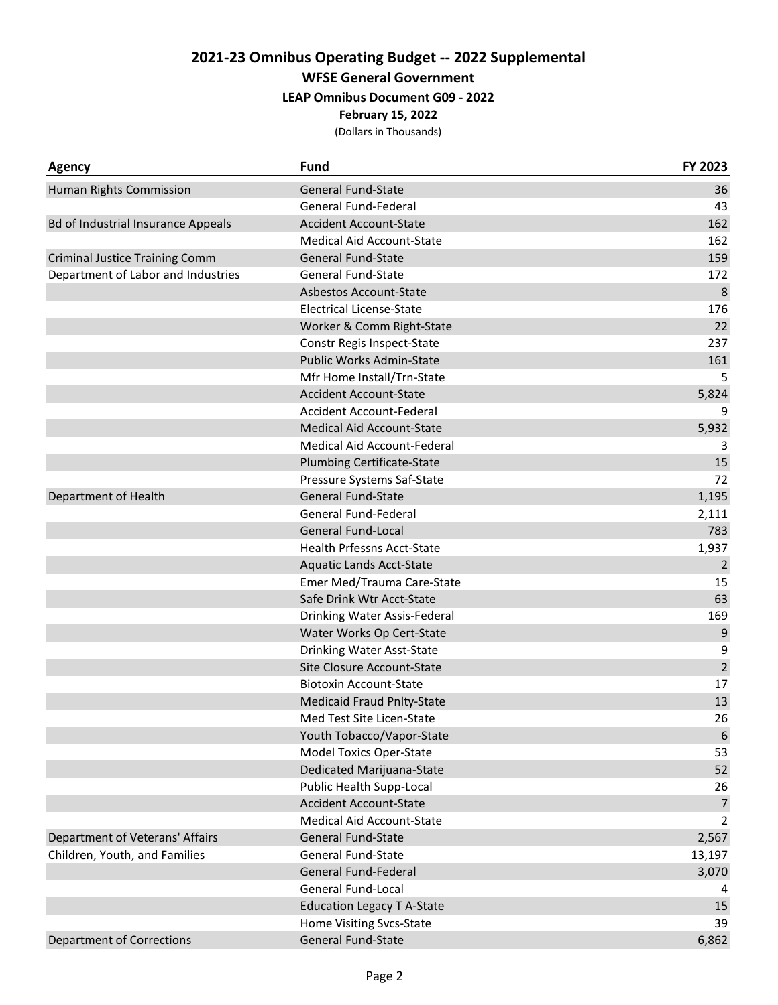**WFSE General Government**

### **LEAP Omnibus Document G09 - 2022**

**February 15, 2022**

| <b>Agency</b>                             | <b>Fund</b>                       | FY 2023         |
|-------------------------------------------|-----------------------------------|-----------------|
| Human Rights Commission                   | <b>General Fund-State</b>         | 36              |
|                                           | General Fund-Federal              | 43              |
| <b>Bd of Industrial Insurance Appeals</b> | <b>Accident Account-State</b>     | 162             |
|                                           | <b>Medical Aid Account-State</b>  | 162             |
| <b>Criminal Justice Training Comm</b>     | <b>General Fund-State</b>         | 159             |
| Department of Labor and Industries        | <b>General Fund-State</b>         | 172             |
|                                           | Asbestos Account-State            | 8               |
|                                           | <b>Electrical License-State</b>   | 176             |
|                                           | Worker & Comm Right-State         | 22              |
|                                           | Constr Regis Inspect-State        | 237             |
|                                           | Public Works Admin-State          | 161             |
|                                           | Mfr Home Install/Trn-State        | 5               |
|                                           | <b>Accident Account-State</b>     | 5,824           |
|                                           | Accident Account-Federal          | 9               |
|                                           | Medical Aid Account-State         | 5,932           |
|                                           | Medical Aid Account-Federal       | 3               |
|                                           | <b>Plumbing Certificate-State</b> | 15              |
|                                           | Pressure Systems Saf-State        | 72              |
| Department of Health                      | General Fund-State                | 1,195           |
|                                           | General Fund-Federal              | 2,111           |
|                                           | <b>General Fund-Local</b>         | 783             |
|                                           | Health Prfessns Acct-State        | 1,937           |
|                                           | <b>Aquatic Lands Acct-State</b>   | $\overline{2}$  |
|                                           | Emer Med/Trauma Care-State        | 15              |
|                                           | Safe Drink Wtr Acct-State         | 63              |
|                                           | Drinking Water Assis-Federal      | 169             |
|                                           | Water Works Op Cert-State         | 9               |
|                                           | Drinking Water Asst-State         | 9               |
|                                           | Site Closure Account-State        | $\overline{2}$  |
|                                           | <b>Biotoxin Account-State</b>     | 17              |
|                                           | <b>Medicaid Fraud Pnlty-State</b> | 13              |
|                                           | Med Test Site Licen-State         | 26              |
|                                           | Youth Tobacco/Vapor-State         | $6\phantom{1}6$ |
|                                           | <b>Model Toxics Oper-State</b>    | 53              |
|                                           | Dedicated Marijuana-State         | 52              |
|                                           | Public Health Supp-Local          | 26              |
|                                           | <b>Accident Account-State</b>     | $\overline{7}$  |
|                                           | Medical Aid Account-State         | 2               |
| Department of Veterans' Affairs           | <b>General Fund-State</b>         | 2,567           |
| Children, Youth, and Families             | <b>General Fund-State</b>         | 13,197          |
|                                           | General Fund-Federal              | 3,070           |
|                                           | General Fund-Local                |                 |
|                                           | <b>Education Legacy T A-State</b> | 15              |
|                                           | Home Visiting Svcs-State          | 39              |
| <b>Department of Corrections</b>          | General Fund-State                | 6,862           |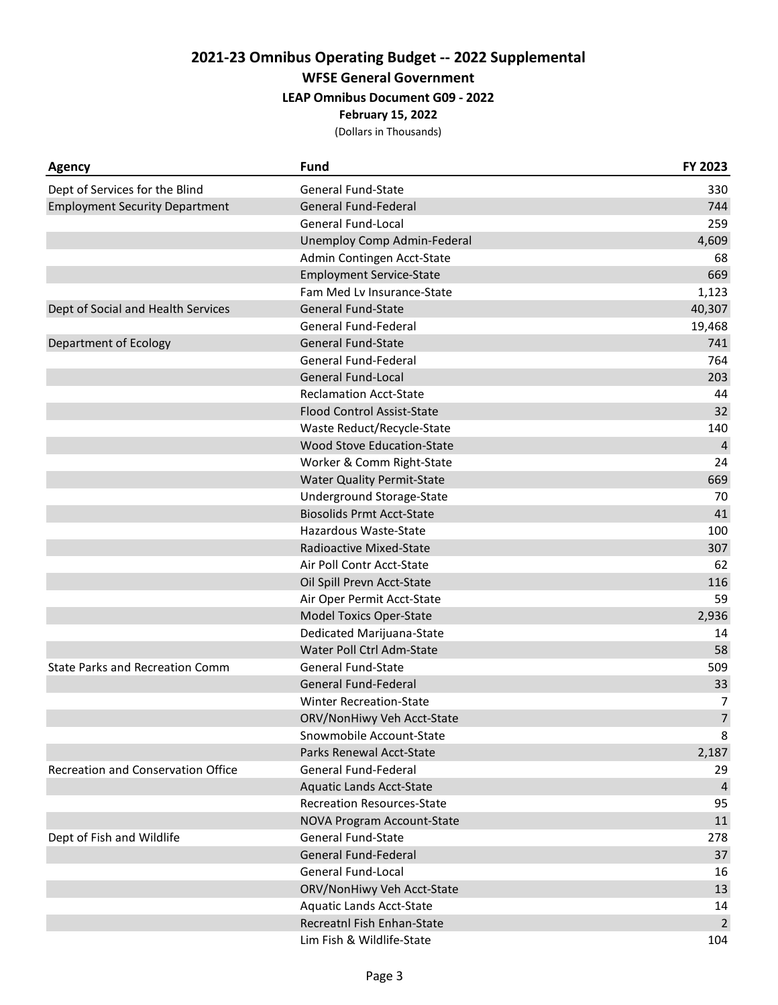**WFSE General Government**

#### **LEAP Omnibus Document G09 - 2022**

**February 15, 2022**

| <b>Agency</b>                          | <b>Fund</b>                       | FY 2023        |
|----------------------------------------|-----------------------------------|----------------|
| Dept of Services for the Blind         | <b>General Fund-State</b>         | 330            |
| <b>Employment Security Department</b>  | <b>General Fund-Federal</b>       | 744            |
|                                        | <b>General Fund-Local</b>         | 259            |
|                                        | Unemploy Comp Admin-Federal       | 4,609          |
|                                        | Admin Contingen Acct-State        | 68             |
|                                        | <b>Employment Service-State</b>   | 669            |
|                                        | Fam Med Lv Insurance-State        | 1,123          |
| Dept of Social and Health Services     | <b>General Fund-State</b>         | 40,307         |
|                                        | General Fund-Federal              | 19,468         |
| Department of Ecology                  | <b>General Fund-State</b>         | 741            |
|                                        | General Fund-Federal              | 764            |
|                                        | <b>General Fund-Local</b>         | 203            |
|                                        | <b>Reclamation Acct-State</b>     | 44             |
|                                        | <b>Flood Control Assist-State</b> | 32             |
|                                        | Waste Reduct/Recycle-State        | 140            |
|                                        | Wood Stove Education-State        | $\overline{4}$ |
|                                        | Worker & Comm Right-State         | 24             |
|                                        | <b>Water Quality Permit-State</b> | 669            |
|                                        | Underground Storage-State         | 70             |
|                                        | <b>Biosolids Prmt Acct-State</b>  | 41             |
|                                        | Hazardous Waste-State             | 100            |
|                                        | Radioactive Mixed-State           | 307            |
|                                        | Air Poll Contr Acct-State         | 62             |
|                                        | Oil Spill Prevn Acct-State        | 116            |
|                                        | Air Oper Permit Acct-State        | 59             |
|                                        | <b>Model Toxics Oper-State</b>    | 2,936          |
|                                        | Dedicated Marijuana-State         | 14             |
|                                        | Water Poll Ctrl Adm-State         | 58             |
| <b>State Parks and Recreation Comm</b> | <b>General Fund-State</b>         | 509            |
|                                        | <b>General Fund-Federal</b>       | 33             |
|                                        | <b>Winter Recreation-State</b>    | $\overline{7}$ |
|                                        | ORV/NonHiwy Veh Acct-State        | $\overline{7}$ |
|                                        | Snowmobile Account-State          | 8              |
|                                        | Parks Renewal Acct-State          | 2,187          |
| Recreation and Conservation Office     | General Fund-Federal              | 29             |
|                                        | <b>Aquatic Lands Acct-State</b>   | 4              |
|                                        | <b>Recreation Resources-State</b> | 95             |
|                                        | NOVA Program Account-State        | 11             |
| Dept of Fish and Wildlife              | <b>General Fund-State</b>         | 278            |
|                                        | General Fund-Federal              | 37             |
|                                        | General Fund-Local                | 16             |
|                                        | ORV/NonHiwy Veh Acct-State        | 13             |
|                                        | <b>Aquatic Lands Acct-State</b>   | 14             |
|                                        | Recreatnl Fish Enhan-State        | $\overline{2}$ |
|                                        | Lim Fish & Wildlife-State         | 104            |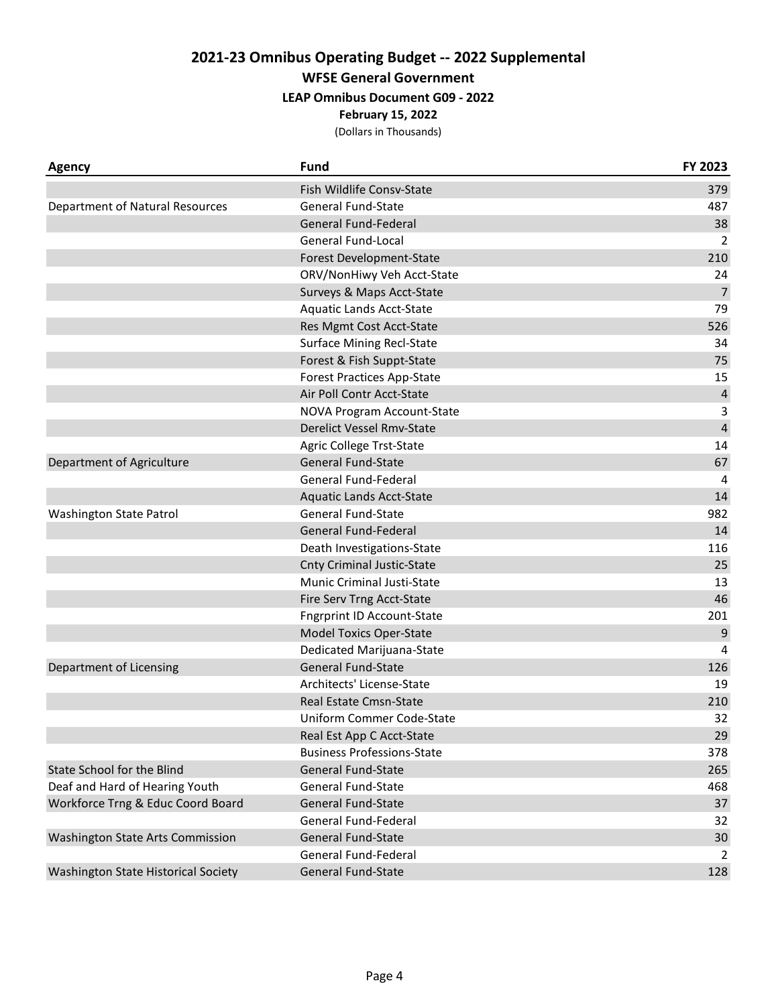**WFSE General Government**

**LEAP Omnibus Document G09 - 2022**

**February 15, 2022**

| Agency                              | <b>Fund</b>                       | FY 2023        |
|-------------------------------------|-----------------------------------|----------------|
|                                     | Fish Wildlife Consv-State         | 379            |
| Department of Natural Resources     | <b>General Fund-State</b>         | 487            |
|                                     | General Fund-Federal              | 38             |
|                                     | <b>General Fund-Local</b>         | 2              |
|                                     | Forest Development-State          | 210            |
|                                     | ORV/NonHiwy Veh Acct-State        | 24             |
|                                     | Surveys & Maps Acct-State         | $\overline{7}$ |
|                                     | Aquatic Lands Acct-State          | 79             |
|                                     | Res Mgmt Cost Acct-State          | 526            |
|                                     | <b>Surface Mining Recl-State</b>  | 34             |
|                                     | Forest & Fish Suppt-State         | 75             |
|                                     | <b>Forest Practices App-State</b> | 15             |
|                                     | Air Poll Contr Acct-State         | $\sqrt{4}$     |
|                                     | NOVA Program Account-State        | 3              |
|                                     | Derelict Vessel Rmv-State         | $\overline{4}$ |
|                                     | Agric College Trst-State          | 14             |
| Department of Agriculture           | <b>General Fund-State</b>         | 67             |
|                                     | General Fund-Federal              | 4              |
|                                     | <b>Aquatic Lands Acct-State</b>   | 14             |
| Washington State Patrol             | <b>General Fund-State</b>         | 982            |
|                                     | General Fund-Federal              | 14             |
|                                     | Death Investigations-State        | 116            |
|                                     | <b>Cnty Criminal Justic-State</b> | 25             |
|                                     | <b>Munic Criminal Justi-State</b> | 13             |
|                                     | Fire Serv Trng Acct-State         | 46             |
|                                     | <b>Fngrprint ID Account-State</b> | 201            |
|                                     | <b>Model Toxics Oper-State</b>    | 9              |
|                                     | Dedicated Marijuana-State         | 4              |
| Department of Licensing             | <b>General Fund-State</b>         | 126            |
|                                     | Architects' License-State         | 19             |
|                                     | Real Estate Cmsn-State            | 210            |
|                                     | Uniform Commer Code-State         | 32             |
|                                     | Real Est App C Acct-State         | 29             |
|                                     | <b>Business Professions-State</b> | 378            |
| State School for the Blind          | <b>General Fund-State</b>         | 265            |
| Deaf and Hard of Hearing Youth      | General Fund-State                | 468            |
| Workforce Trng & Educ Coord Board   | <b>General Fund-State</b>         | 37             |
|                                     | General Fund-Federal              | 32             |
| Washington State Arts Commission    | <b>General Fund-State</b>         | 30             |
|                                     | General Fund-Federal              | $\overline{2}$ |
| Washington State Historical Society | General Fund-State                | 128            |